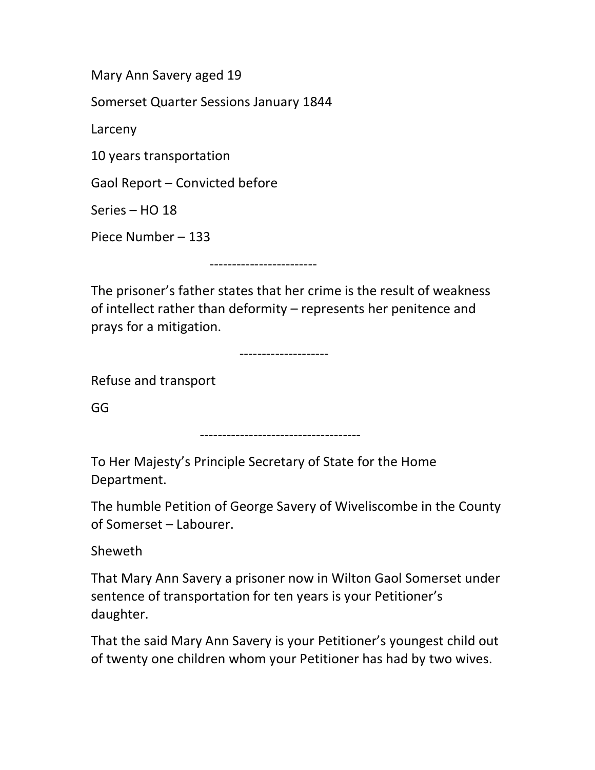Mary Ann Savery aged 19

Somerset Quarter Sessions January 1844

Larceny

10 years transportation

Gaol Report – Convicted before

Series – HO 18

Piece Number – 133

------------------------

The prisoner's father states that her crime is the result of weakness of intellect rather than deformity – represents her penitence and prays for a mitigation.

--------------------

Refuse and transport

GG

------------------------------------

To Her Majesty's Principle Secretary of State for the Home Department.

The humble Petition of George Savery of Wiveliscombe in the County of Somerset – Labourer.

Sheweth

That Mary Ann Savery a prisoner now in Wilton Gaol Somerset under sentence of transportation for ten years is your Petitioner's daughter.

That the said Mary Ann Savery is your Petitioner's youngest child out of twenty one children whom your Petitioner has had by two wives.